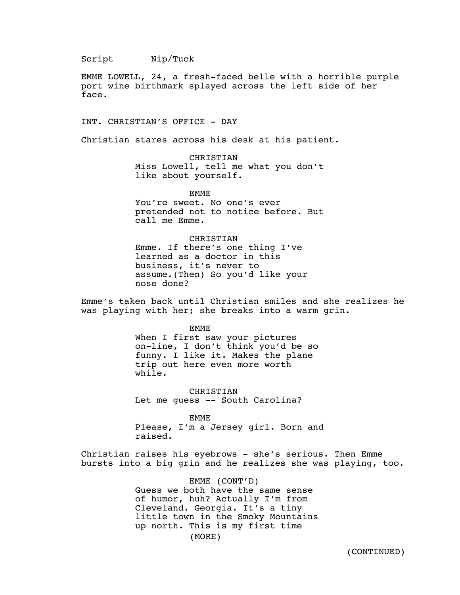Script Nip/Tuck

EMME LOWELL, 24, a fresh-faced belle with a horrible purple port wine birthmark splayed across the left side of her face.

INT. CHRISTIAN'S OFFICE - DAY

Christian stares across his desk at his patient.

CHRISTIAN Miss Lowell, tell me what you don't like about yourself.

EMME You're sweet. No one's ever pretended not to notice before. But call me Emme.

CHRISTIAN Emme. If there's one thing I've learned as a doctor in this business, it's never to assume.(Then) So you'd like your nose done?

Emme's taken back until Christian smiles and she realizes he was playing with her; she breaks into a warm grin.

> EMME When I first saw your pictures on-line, I don't think you'd be so funny. I like it. Makes the plane trip out here even more worth while.

CHRISTIAN Let me guess -- South Carolina?

EMME Please, I'm a Jersey girl. Born and raised.

Christian raises his eyebrows - she's serious. Then Emme bursts into a big grin and he realizes she was playing, too.

> EMME (CONT'D) Guess we both have the same sense of humor, huh? Actually I'm from Cleveland. Georgia. It's a tiny little town in the Smoky Mountains up north. This is my first time (MORE)

> > (CONTINUED)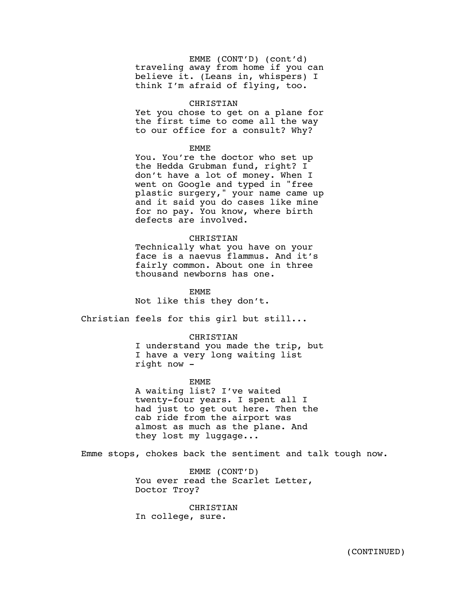EMME (CONT'D) (cont'd) traveling away from home if you can believe it. (Leans in, whispers) I think I'm afraid of flying, too.

# CHRISTIAN

Yet you chose to get on a plane for the first time to come all the way to our office for a consult? Why?

# EMME

You. You're the doctor who set up the Hedda Grubman fund, right? I don't have a lot of money. When I went on Google and typed in "free plastic surgery," your name came up and it said you do cases like mine for no pay. You know, where birth defects are involved.

# CHRISTIAN

Technically what you have on your face is a naevus flammus. And it's fairly common. About one in three thousand newborns has one.

#### EMME

Not like this they don't.

Christian feels for this girl but still...

## CHRISTIAN

I understand you made the trip, but I have a very long waiting list right now -

# EMME

A waiting list? I've waited twenty-four years. I spent all I had just to get out here. Then the cab ride from the airport was almost as much as the plane. And they lost my luggage...

Emme stops, chokes back the sentiment and talk tough now.

EMME (CONT'D) You ever read the Scarlet Letter, Doctor Troy?

CHRISTIAN In college, sure.